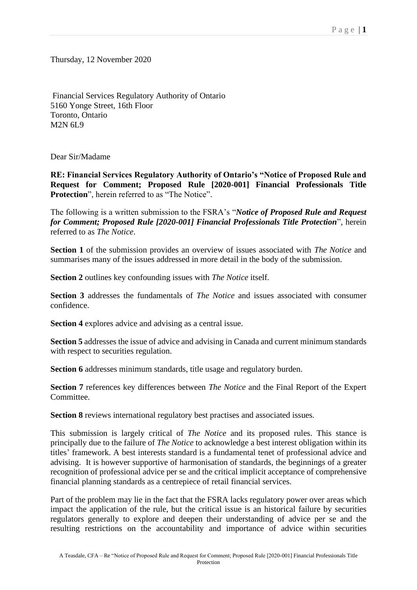Thursday, 12 November 2020

Financial Services Regulatory Authority of Ontario 5160 Yonge Street, 16th Floor Toronto, Ontario M2N 6L9

Dear Sir/Madame

**RE: Financial Services Regulatory Authority of Ontario's "Notice of Proposed Rule and Request for Comment; Proposed Rule [2020-001] Financial Professionals Title Protection**", herein referred to as "The Notice".

The following is a written submission to the FSRA's "*Notice of Proposed Rule and Request for Comment; Proposed Rule [2020-001] Financial Professionals Title Protection*", herein referred to as *The Notice*.

**Section 1** of the submission provides an overview of issues associated with *The Notice* and summarises many of the issues addressed in more detail in the body of the submission.

**Section 2** outlines key confounding issues with *The Notice* itself.

**Section 3** addresses the fundamentals of *The Notice* and issues associated with consumer confidence.

**Section 4** explores advice and advising as a central issue.

**Section 5** addresses the issue of advice and advising in Canada and current minimum standards with respect to securities regulation.

**Section 6** addresses minimum standards, title usage and regulatory burden.

**Section 7** references key differences between *The Notice* and the Final Report of the Expert Committee.

**Section 8** reviews international regulatory best practises and associated issues.

This submission is largely critical of *The Notice* and its proposed rules. This stance is principally due to the failure of *The Notice* to acknowledge a best interest obligation within its titles' framework. A best interests standard is a fundamental tenet of professional advice and advising. It is however supportive of harmonisation of standards, the beginnings of a greater recognition of professional advice per se and the critical implicit acceptance of comprehensive financial planning standards as a centrepiece of retail financial services.

Part of the problem may lie in the fact that the FSRA lacks regulatory power over areas which impact the application of the rule, but the critical issue is an historical failure by securities regulators generally to explore and deepen their understanding of advice per se and the resulting restrictions on the accountability and importance of advice within securities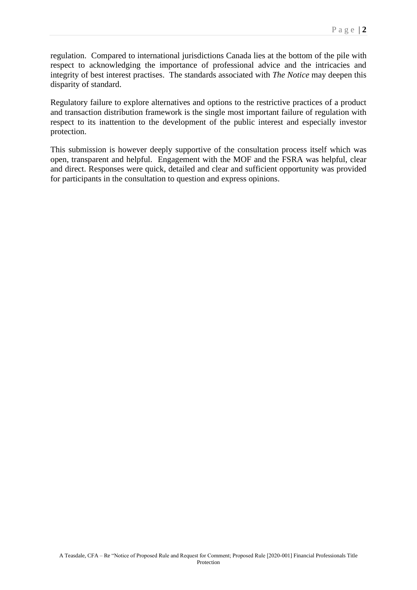regulation. Compared to international jurisdictions Canada lies at the bottom of the pile with respect to acknowledging the importance of professional advice and the intricacies and integrity of best interest practises. The standards associated with *The Notice* may deepen this disparity of standard.

Regulatory failure to explore alternatives and options to the restrictive practices of a product and transaction distribution framework is the single most important failure of regulation with respect to its inattention to the development of the public interest and especially investor protection.

This submission is however deeply supportive of the consultation process itself which was open, transparent and helpful. Engagement with the MOF and the FSRA was helpful, clear and direct. Responses were quick, detailed and clear and sufficient opportunity was provided for participants in the consultation to question and express opinions.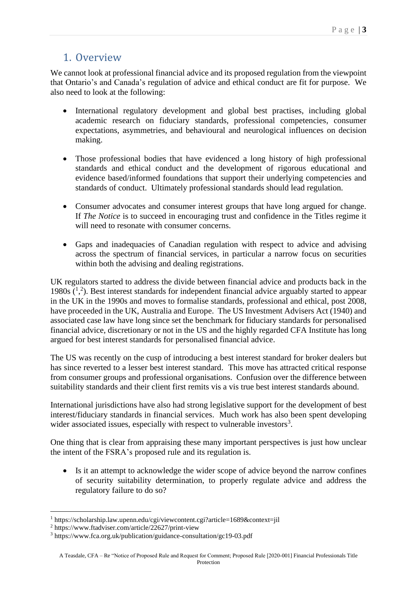## 1. Overview

We cannot look at professional financial advice and its proposed regulation from the viewpoint that Ontario's and Canada's regulation of advice and ethical conduct are fit for purpose. We also need to look at the following:

- International regulatory development and global best practises, including global academic research on fiduciary standards, professional competencies, consumer expectations, asymmetries, and behavioural and neurological influences on decision making.
- Those professional bodies that have evidenced a long history of high professional standards and ethical conduct and the development of rigorous educational and evidence based/informed foundations that support their underlying competencies and standards of conduct. Ultimately professional standards should lead regulation.
- Consumer advocates and consumer interest groups that have long argued for change. If *The Notice* is to succeed in encouraging trust and confidence in the Titles regime it will need to resonate with consumer concerns.
- Gaps and inadequacies of Canadian regulation with respect to advice and advising across the spectrum of financial services, in particular a narrow focus on securities within both the advising and dealing registrations.

UK regulators started to address the divide between financial advice and products back in the 1980s  $(1, 2)$ . Best interest standards for independent financial advice arguably started to appear in the UK in the 1990s and moves to formalise standards, professional and ethical, post 2008, have proceeded in the UK, Australia and Europe. The US Investment Advisers Act (1940) and associated case law have long since set the benchmark for fiduciary standards for personalised financial advice, discretionary or not in the US and the highly regarded CFA Institute has long argued for best interest standards for personalised financial advice.

The US was recently on the cusp of introducing a best interest standard for broker dealers but has since reverted to a lesser best interest standard. This move has attracted critical response from consumer groups and professional organisations. Confusion over the difference between suitability standards and their client first remits vis a vis true best interest standards abound.

International jurisdictions have also had strong legislative support for the development of best interest/fiduciary standards in financial services. Much work has also been spent developing wider associated issues, especially with respect to vulnerable investors<sup>3</sup>.

One thing that is clear from appraising these many important perspectives is just how unclear the intent of the FSRA's proposed rule and its regulation is.

• Is it an attempt to acknowledge the wider scope of advice beyond the narrow confines of security suitability determination, to properly regulate advice and address the regulatory failure to do so?

<sup>1</sup> https://scholarship.law.upenn.edu/cgi/viewcontent.cgi?article=1689&context=jil

<sup>2</sup> https://www.ftadviser.com/article/22627/print-view

<sup>3</sup> https://www.fca.org.uk/publication/guidance-consultation/gc19-03.pdf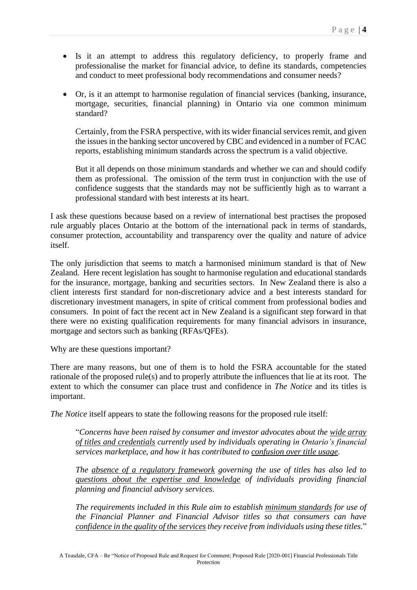- Is it an attempt to address this regulatory deficiency, to properly frame and professionalise the market for financial advice, to define its standards, competencies and conduct to meet professional body recommendations and consumer needs?
- Or, is it an attempt to harmonise regulation of financial services (banking, insurance, mortgage, securities, financial planning) in Ontario via one common minimum standard?

Certainly, from the FSRA perspective, with its wider financial services remit, and given the issues in the banking sector uncovered by CBC and evidenced in a number of FCAC reports, establishing minimum standards across the spectrum is a valid objective.

But it all depends on those minimum standards and whether we can and should codify them as professional. The omission of the term trust in conjunction with the use of confidence suggests that the standards may not be sufficiently high as to warrant a professional standard with best interests at its heart.

I ask these questions because based on a review of international best practises the proposed rule arguably places Ontario at the bottom of the international pack in terms of standards, consumer protection, accountability and transparency over the quality and nature of advice itself.

The only jurisdiction that seems to match a harmonised minimum standard is that of New Zealand. Here recent legislation has sought to harmonise regulation and educational standards for the insurance, mortgage, banking and securities sectors. In New Zealand there is also a client interests first standard for non-discretionary advice and a best interests standard for discretionary investment managers, in spite of critical comment from professional bodies and consumers. In point of fact the recent act in New Zealand is a significant step forward in that there were no existing qualification requirements for many financial advisors in insurance, mortgage and sectors such as banking (RFAs/QFEs).

Why are these questions important?

There are many reasons, but one of them is to hold the FSRA accountable for the stated rationale of the proposed rule(s) and to properly attribute the influences that lie at its root. The extent to which the consumer can place trust and confidence in *The Notice* and its titles is important.

*The Notice* itself appears to state the following reasons for the proposed rule itself:

"*Concerns have been raised by consumer and investor advocates about the wide array of titles and credentials currently used by individuals operating in Ontario's financial services marketplace, and how it has contributed to confusion over title usage*.

*The absence of a regulatory framework governing the use of titles has also led to questions about the expertise and knowledge of individuals providing financial planning and financial advisory services*.

*The requirements included in this Rule aim to establish minimum standards for use of the Financial Planner and Financial Advisor titles so that consumers can have confidence in the quality of the services they receive from individuals using these titles.*"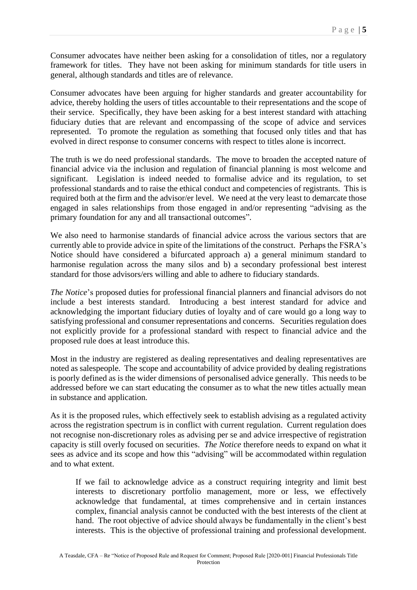Consumer advocates have neither been asking for a consolidation of titles, nor a regulatory framework for titles. They have not been asking for minimum standards for title users in general, although standards and titles are of relevance.

Consumer advocates have been arguing for higher standards and greater accountability for advice, thereby holding the users of titles accountable to their representations and the scope of their service. Specifically, they have been asking for a best interest standard with attaching fiduciary duties that are relevant and encompassing of the scope of advice and services represented. To promote the regulation as something that focused only titles and that has evolved in direct response to consumer concerns with respect to titles alone is incorrect.

The truth is we do need professional standards. The move to broaden the accepted nature of financial advice via the inclusion and regulation of financial planning is most welcome and significant. Legislation is indeed needed to formalise advice and its regulation, to set professional standards and to raise the ethical conduct and competencies of registrants. This is required both at the firm and the advisor/er level. We need at the very least to demarcate those engaged in sales relationships from those engaged in and/or representing "advising as the primary foundation for any and all transactional outcomes".

We also need to harmonise standards of financial advice across the various sectors that are currently able to provide advice in spite of the limitations of the construct. Perhaps the FSRA's Notice should have considered a bifurcated approach a) a general minimum standard to harmonise regulation across the many silos and b) a secondary professional best interest standard for those advisors/ers willing and able to adhere to fiduciary standards.

*The Notice*'s proposed duties for professional financial planners and financial advisors do not include a best interests standard. Introducing a best interest standard for advice and acknowledging the important fiduciary duties of loyalty and of care would go a long way to satisfying professional and consumer representations and concerns. Securities regulation does not explicitly provide for a professional standard with respect to financial advice and the proposed rule does at least introduce this.

Most in the industry are registered as dealing representatives and dealing representatives are noted as salespeople. The scope and accountability of advice provided by dealing registrations is poorly defined as is the wider dimensions of personalised advice generally. This needs to be addressed before we can start educating the consumer as to what the new titles actually mean in substance and application.

As it is the proposed rules, which effectively seek to establish advising as a regulated activity across the registration spectrum is in conflict with current regulation. Current regulation does not recognise non-discretionary roles as advising per se and advice irrespective of registration capacity is still overly focused on securities. *The Notice* therefore needs to expand on what it sees as advice and its scope and how this "advising" will be accommodated within regulation and to what extent.

If we fail to acknowledge advice as a construct requiring integrity and limit best interests to discretionary portfolio management, more or less, we effectively acknowledge that fundamental, at times comprehensive and in certain instances complex, financial analysis cannot be conducted with the best interests of the client at hand. The root objective of advice should always be fundamentally in the client's best interests. This is the objective of professional training and professional development.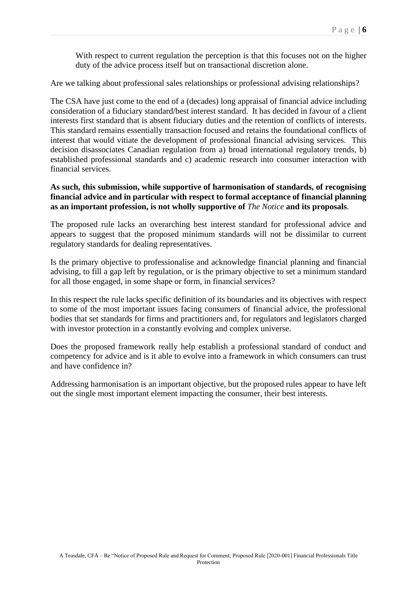With respect to current regulation the perception is that this focuses not on the higher duty of the advice process itself but on transactional discretion alone.

Are we talking about professional sales relationships or professional advising relationships?

The CSA have just come to the end of a (decades) long appraisal of financial advice including consideration of a fiduciary standard/best interest standard. It has decided in favour of a client interests first standard that is absent fiduciary duties and the retention of conflicts of interests. This standard remains essentially transaction focused and retains the foundational conflicts of interest that would vitiate the development of professional financial advising services. This decision disassociates Canadian regulation from a) broad international regulatory trends, b) established professional standards and c) academic research into consumer interaction with financial services.

#### **As such, this submission, while supportive of harmonisation of standards, of recognising financial advice and in particular with respect to formal acceptance of financial planning as an important profession, is not wholly supportive of** *The Notice* **and its proposals**.

The proposed rule lacks an overarching best interest standard for professional advice and appears to suggest that the proposed minimum standards will not be dissimilar to current regulatory standards for dealing representatives.

Is the primary objective to professionalise and acknowledge financial planning and financial advising, to fill a gap left by regulation, or is the primary objective to set a minimum standard for all those engaged, in some shape or form, in financial services?

In this respect the rule lacks specific definition of its boundaries and its objectives with respect to some of the most important issues facing consumers of financial advice, the professional bodies that set standards for firms and practitioners and, for regulators and legislators charged with investor protection in a constantly evolving and complex universe.

Does the proposed framework really help establish a professional standard of conduct and competency for advice and is it able to evolve into a framework in which consumers can trust and have confidence in?

Addressing harmonisation is an important objective, but the proposed rules appear to have left out the single most important element impacting the consumer, their best interests.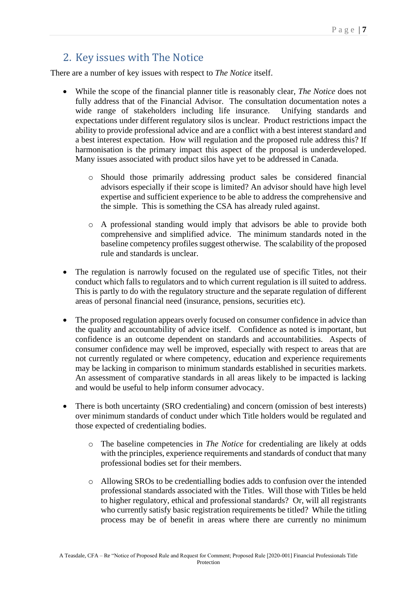# 2. Key issues with The Notice

There are a number of key issues with respect to *The Notice* itself.

- While the scope of the financial planner title is reasonably clear, *The Notice* does not fully address that of the Financial Advisor. The consultation documentation notes a wide range of stakeholders including life insurance. Unifying standards and expectations under different regulatory silos is unclear. Product restrictions impact the ability to provide professional advice and are a conflict with a best interest standard and a best interest expectation. How will regulation and the proposed rule address this? If harmonisation is the primary impact this aspect of the proposal is underdeveloped. Many issues associated with product silos have yet to be addressed in Canada.
	- o Should those primarily addressing product sales be considered financial advisors especially if their scope is limited? An advisor should have high level expertise and sufficient experience to be able to address the comprehensive and the simple. This is something the CSA has already ruled against.
	- o A professional standing would imply that advisors be able to provide both comprehensive and simplified advice. The minimum standards noted in the baseline competency profiles suggest otherwise. The scalability of the proposed rule and standards is unclear.
- The regulation is narrowly focused on the regulated use of specific Titles, not their conduct which falls to regulators and to which current regulation is ill suited to address. This is partly to do with the regulatory structure and the separate regulation of different areas of personal financial need (insurance, pensions, securities etc).
- The proposed regulation appears overly focused on consumer confidence in advice than the quality and accountability of advice itself. Confidence as noted is important, but confidence is an outcome dependent on standards and accountabilities. Aspects of consumer confidence may well be improved, especially with respect to areas that are not currently regulated or where competency, education and experience requirements may be lacking in comparison to minimum standards established in securities markets. An assessment of comparative standards in all areas likely to be impacted is lacking and would be useful to help inform consumer advocacy.
- There is both uncertainty (SRO credentialing) and concern (omission of best interests) over minimum standards of conduct under which Title holders would be regulated and those expected of credentialing bodies.
	- o The baseline competencies in *The Notice* for credentialing are likely at odds with the principles, experience requirements and standards of conduct that many professional bodies set for their members.
	- o Allowing SROs to be credentialling bodies adds to confusion over the intended professional standards associated with the Titles. Will those with Titles be held to higher regulatory, ethical and professional standards? Or, will all registrants who currently satisfy basic registration requirements be titled? While the titling process may be of benefit in areas where there are currently no minimum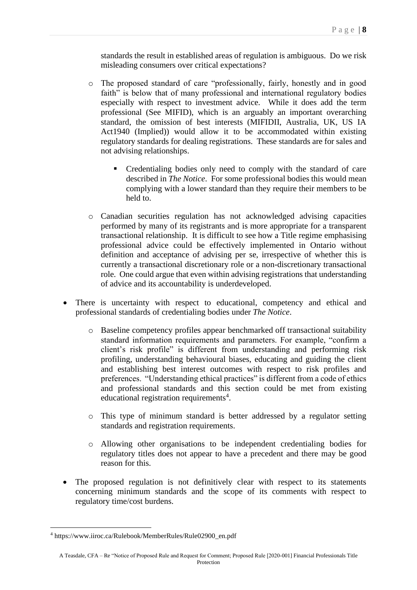standards the result in established areas of regulation is ambiguous. Do we risk misleading consumers over critical expectations?

- o The proposed standard of care "professionally, fairly, honestly and in good faith" is below that of many professional and international regulatory bodies especially with respect to investment advice. While it does add the term professional (See MIFID), which is an arguably an important overarching standard, the omission of best interests (MIFIDII, Australia, UK, US IA Act1940 (Implied)) would allow it to be accommodated within existing regulatory standards for dealing registrations. These standards are for sales and not advising relationships.
	- Credentialing bodies only need to comply with the standard of care described in *The Notice*. For some professional bodies this would mean complying with a lower standard than they require their members to be held to.
- o Canadian securities regulation has not acknowledged advising capacities performed by many of its registrants and is more appropriate for a transparent transactional relationship. It is difficult to see how a Title regime emphasising professional advice could be effectively implemented in Ontario without definition and acceptance of advising per se, irrespective of whether this is currently a transactional discretionary role or a non-discretionary transactional role. One could argue that even within advising registrations that understanding of advice and its accountability is underdeveloped.
- There is uncertainty with respect to educational, competency and ethical and professional standards of credentialing bodies under *The Notice*.
	- o Baseline competency profiles appear benchmarked off transactional suitability standard information requirements and parameters. For example, "confirm a client's risk profile" is different from understanding and performing risk profiling, understanding behavioural biases, educating and guiding the client and establishing best interest outcomes with respect to risk profiles and preferences. "Understanding ethical practices" is different from a code of ethics and professional standards and this section could be met from existing educational registration requirements<sup>4</sup>.
	- o This type of minimum standard is better addressed by a regulator setting standards and registration requirements.
	- o Allowing other organisations to be independent credentialing bodies for regulatory titles does not appear to have a precedent and there may be good reason for this.
- The proposed regulation is not definitively clear with respect to its statements concerning minimum standards and the scope of its comments with respect to regulatory time/cost burdens.

<sup>4</sup> https://www.iiroc.ca/Rulebook/MemberRules/Rule02900\_en.pdf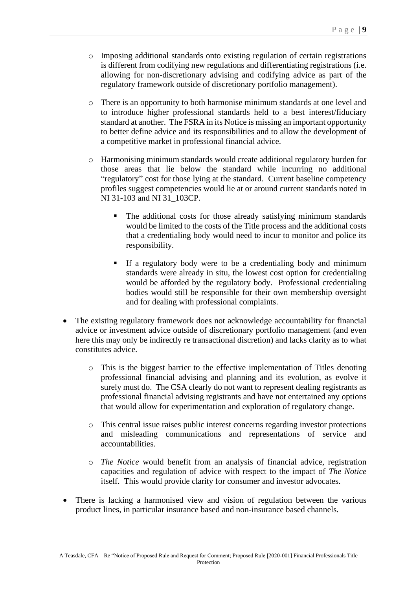- o Imposing additional standards onto existing regulation of certain registrations is different from codifying new regulations and differentiating registrations (i.e. allowing for non-discretionary advising and codifying advice as part of the regulatory framework outside of discretionary portfolio management).
- o There is an opportunity to both harmonise minimum standards at one level and to introduce higher professional standards held to a best interest/fiduciary standard at another. The FSRA in its Notice is missing an important opportunity to better define advice and its responsibilities and to allow the development of a competitive market in professional financial advice.
- o Harmonising minimum standards would create additional regulatory burden for those areas that lie below the standard while incurring no additional "regulatory" cost for those lying at the standard. Current baseline competency profiles suggest competencies would lie at or around current standards noted in NI 31-103 and NI 31\_103CP.
	- The additional costs for those already satisfying minimum standards would be limited to the costs of the Title process and the additional costs that a credentialing body would need to incur to monitor and police its responsibility.
	- If a regulatory body were to be a credentialing body and minimum standards were already in situ, the lowest cost option for credentialing would be afforded by the regulatory body. Professional credentialing bodies would still be responsible for their own membership oversight and for dealing with professional complaints.
- The existing regulatory framework does not acknowledge accountability for financial advice or investment advice outside of discretionary portfolio management (and even here this may only be indirectly re transactional discretion) and lacks clarity as to what constitutes advice.
	- o This is the biggest barrier to the effective implementation of Titles denoting professional financial advising and planning and its evolution, as evolve it surely must do. The CSA clearly do not want to represent dealing registrants as professional financial advising registrants and have not entertained any options that would allow for experimentation and exploration of regulatory change.
	- o This central issue raises public interest concerns regarding investor protections and misleading communications and representations of service and accountabilities.
	- o *The Notice* would benefit from an analysis of financial advice, registration capacities and regulation of advice with respect to the impact of *The Notice* itself. This would provide clarity for consumer and investor advocates.
- There is lacking a harmonised view and vision of regulation between the various product lines, in particular insurance based and non-insurance based channels.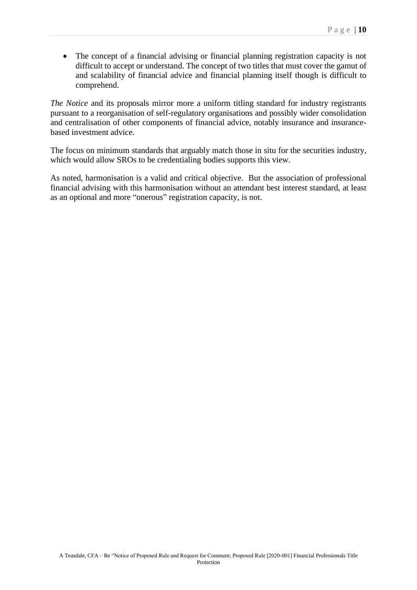• The concept of a financial advising or financial planning registration capacity is not difficult to accept or understand. The concept of two titles that must cover the gamut of and scalability of financial advice and financial planning itself though is difficult to comprehend.

*The Notice* and its proposals mirror more a uniform titling standard for industry registrants pursuant to a reorganisation of self-regulatory organisations and possibly wider consolidation and centralisation of other components of financial advice, notably insurance and insurancebased investment advice.

The focus on minimum standards that arguably match those in situ for the securities industry, which would allow SROs to be credentialing bodies supports this view.

As noted, harmonisation is a valid and critical objective. But the association of professional financial advising with this harmonisation without an attendant best interest standard, at least as an optional and more "onerous" registration capacity, is not.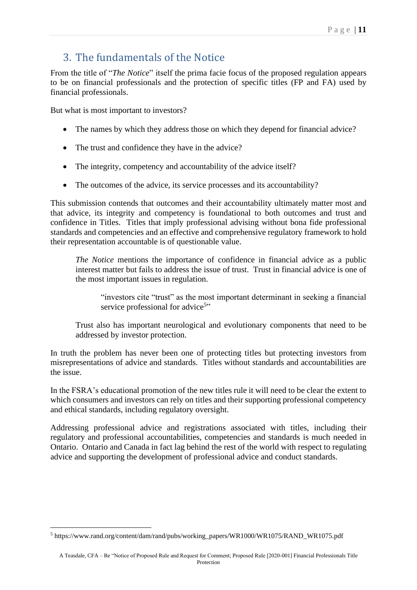# 3. The fundamentals of the Notice

From the title of "*The Notice*" itself the prima facie focus of the proposed regulation appears to be on financial professionals and the protection of specific titles (FP and FA) used by financial professionals.

But what is most important to investors?

- The names by which they address those on which they depend for financial advice?
- The trust and confidence they have in the advice?
- The integrity, competency and accountability of the advice itself?
- The outcomes of the advice, its service processes and its accountability?

This submission contends that outcomes and their accountability ultimately matter most and that advice, its integrity and competency is foundational to both outcomes and trust and confidence in Titles. Titles that imply professional advising without bona fide professional standards and competencies and an effective and comprehensive regulatory framework to hold their representation accountable is of questionable value.

*The Notice* mentions the importance of confidence in financial advice as a public interest matter but fails to address the issue of trust. Trust in financial advice is one of the most important issues in regulation.

"investors cite "trust" as the most important determinant in seeking a financial service professional for advice<sup>5</sup>"

Trust also has important neurological and evolutionary components that need to be addressed by investor protection.

In truth the problem has never been one of protecting titles but protecting investors from misrepresentations of advice and standards. Titles without standards and accountabilities are the issue.

In the FSRA's educational promotion of the new titles rule it will need to be clear the extent to which consumers and investors can rely on titles and their supporting professional competency and ethical standards, including regulatory oversight.

Addressing professional advice and registrations associated with titles, including their regulatory and professional accountabilities, competencies and standards is much needed in Ontario. Ontario and Canada in fact lag behind the rest of the world with respect to regulating advice and supporting the development of professional advice and conduct standards.

<sup>5</sup> https://www.rand.org/content/dam/rand/pubs/working\_papers/WR1000/WR1075/RAND\_WR1075.pdf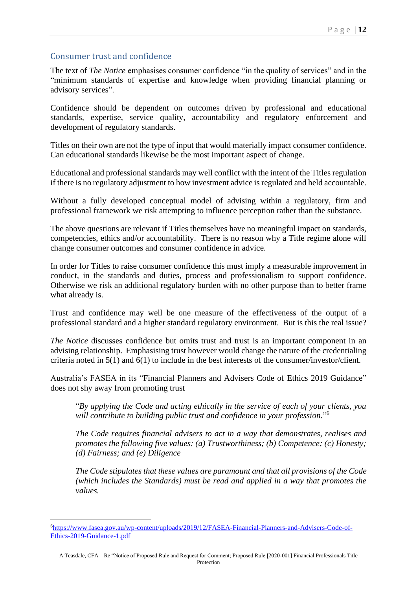### Consumer trust and confidence

The text of *The Notice* emphasises consumer confidence "in the quality of services" and in the "minimum standards of expertise and knowledge when providing financial planning or advisory services".

Confidence should be dependent on outcomes driven by professional and educational standards, expertise, service quality, accountability and regulatory enforcement and development of regulatory standards.

Titles on their own are not the type of input that would materially impact consumer confidence. Can educational standards likewise be the most important aspect of change.

Educational and professional standards may well conflict with the intent of the Titles regulation if there is no regulatory adjustment to how investment advice is regulated and held accountable.

Without a fully developed conceptual model of advising within a regulatory, firm and professional framework we risk attempting to influence perception rather than the substance.

The above questions are relevant if Titles themselves have no meaningful impact on standards, competencies, ethics and/or accountability. There is no reason why a Title regime alone will change consumer outcomes and consumer confidence in advice.

In order for Titles to raise consumer confidence this must imply a measurable improvement in conduct, in the standards and duties, process and professionalism to support confidence. Otherwise we risk an additional regulatory burden with no other purpose than to better frame what already is.

Trust and confidence may well be one measure of the effectiveness of the output of a professional standard and a higher standard regulatory environment. But is this the real issue?

*The Notice* discusses confidence but omits trust and trust is an important component in an advising relationship. Emphasising trust however would change the nature of the credentialing criteria noted in 5(1) and 6(1) to include in the best interests of the consumer/investor/client.

Australia's FASEA in its "Financial Planners and Advisers Code of Ethics 2019 Guidance" does not shy away from promoting trust

"*By applying the Code and acting ethically in the service of each of your clients, you will contribute to building public trust and confidence in your profession*." 6

*The Code requires financial advisers to act in a way that demonstrates, realises and promotes the following five values: (a) Trustworthiness; (b) Competence; (c) Honesty; (d) Fairness; and (e) Diligence*

*The Code stipulates that these values are paramount and that all provisions of the Code (which includes the Standards) must be read and applied in a way that promotes the values.*

<sup>6</sup>[https://www.fasea.gov.au/wp-content/uploads/2019/12/FASEA-Financial-Planners-and-Advisers-Code-of-](https://www.fasea.gov.au/wp-content/uploads/2019/12/FASEA-Financial-Planners-and-Advisers-Code-of-Ethics-2019-Guidance-1.pdf)[Ethics-2019-Guidance-1.pdf](https://www.fasea.gov.au/wp-content/uploads/2019/12/FASEA-Financial-Planners-and-Advisers-Code-of-Ethics-2019-Guidance-1.pdf)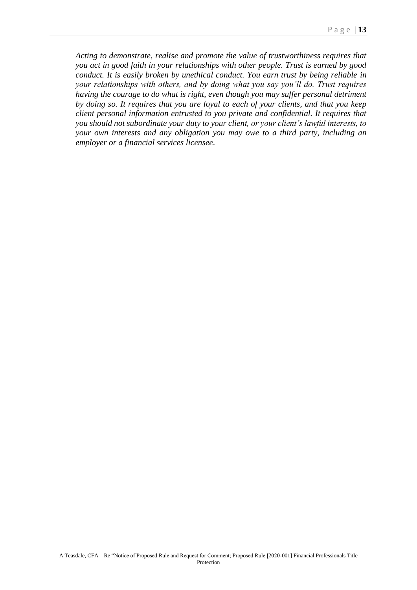*Acting to demonstrate, realise and promote the value of trustworthiness requires that you act in good faith in your relationships with other people. Trust is earned by good conduct. It is easily broken by unethical conduct. You earn trust by being reliable in your relationships with others, and by doing what you say you'll do. Trust requires having the courage to do what is right, even though you may suffer personal detriment by doing so. It requires that you are loyal to each of your clients, and that you keep client personal information entrusted to you private and confidential. It requires that you should not subordinate your duty to your client, or your client's lawful interests, to your own interests and any obligation you may owe to a third party, including an employer or a financial services licensee*.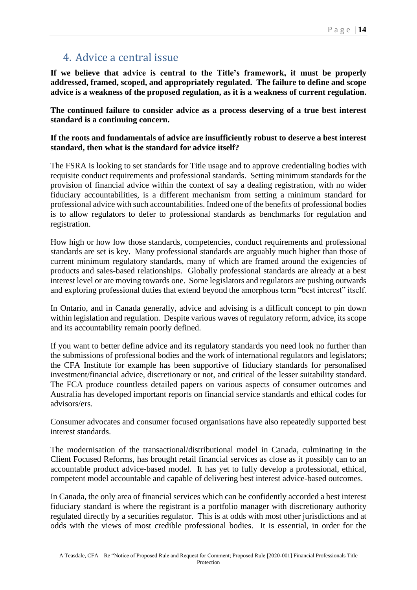# 4. Advice a central issue

**If we believe that advice is central to the Title's framework, it must be properly addressed, framed, scoped, and appropriately regulated. The failure to define and scope advice is a weakness of the proposed regulation, as it is a weakness of current regulation.** 

**The continued failure to consider advice as a process deserving of a true best interest standard is a continuing concern.** 

**If the roots and fundamentals of advice are insufficiently robust to deserve a best interest standard, then what is the standard for advice itself?** 

The FSRA is looking to set standards for Title usage and to approve credentialing bodies with requisite conduct requirements and professional standards. Setting minimum standards for the provision of financial advice within the context of say a dealing registration, with no wider fiduciary accountabilities, is a different mechanism from setting a minimum standard for professional advice with such accountabilities. Indeed one of the benefits of professional bodies is to allow regulators to defer to professional standards as benchmarks for regulation and registration.

How high or how low those standards, competencies, conduct requirements and professional standards are set is key. Many professional standards are arguably much higher than those of current minimum regulatory standards, many of which are framed around the exigencies of products and sales-based relationships. Globally professional standards are already at a best interest level or are moving towards one. Some legislators and regulators are pushing outwards and exploring professional duties that extend beyond the amorphous term "best interest" itself.

In Ontario, and in Canada generally, advice and advising is a difficult concept to pin down within legislation and regulation. Despite various waves of regulatory reform, advice, its scope and its accountability remain poorly defined.

If you want to better define advice and its regulatory standards you need look no further than the submissions of professional bodies and the work of international regulators and legislators; the CFA Institute for example has been supportive of fiduciary standards for personalised investment/financial advice, discretionary or not, and critical of the lesser suitability standard. The FCA produce countless detailed papers on various aspects of consumer outcomes and Australia has developed important reports on financial service standards and ethical codes for advisors/ers.

Consumer advocates and consumer focused organisations have also repeatedly supported best interest standards.

The modernisation of the transactional/distributional model in Canada, culminating in the Client Focused Reforms, has brought retail financial services as close as it possibly can to an accountable product advice-based model. It has yet to fully develop a professional, ethical, competent model accountable and capable of delivering best interest advice-based outcomes.

In Canada, the only area of financial services which can be confidently accorded a best interest fiduciary standard is where the registrant is a portfolio manager with discretionary authority regulated directly by a securities regulator. This is at odds with most other jurisdictions and at odds with the views of most credible professional bodies. It is essential, in order for the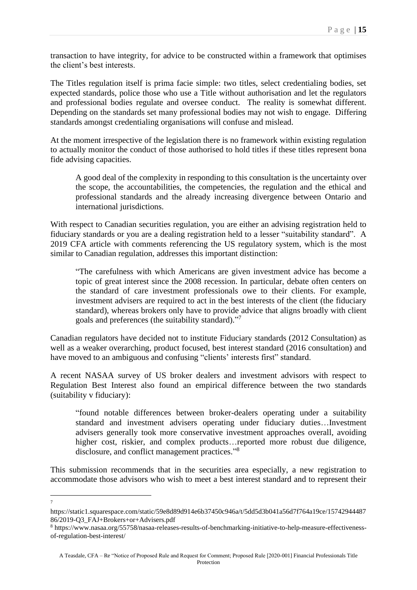transaction to have integrity, for advice to be constructed within a framework that optimises the client's best interests.

The Titles regulation itself is prima facie simple: two titles, select credentialing bodies, set expected standards, police those who use a Title without authorisation and let the regulators and professional bodies regulate and oversee conduct. The reality is somewhat different. Depending on the standards set many professional bodies may not wish to engage. Differing standards amongst credentialing organisations will confuse and mislead.

At the moment irrespective of the legislation there is no framework within existing regulation to actually monitor the conduct of those authorised to hold titles if these titles represent bona fide advising capacities.

A good deal of the complexity in responding to this consultation is the uncertainty over the scope, the accountabilities, the competencies, the regulation and the ethical and professional standards and the already increasing divergence between Ontario and international jurisdictions.

With respect to Canadian securities regulation, you are either an advising registration held to fiduciary standards or you are a dealing registration held to a lesser "suitability standard". A 2019 CFA article with comments referencing the US regulatory system, which is the most similar to Canadian regulation, addresses this important distinction:

"The carefulness with which Americans are given investment advice has become a topic of great interest since the 2008 recession. In particular, debate often centers on the standard of care investment professionals owe to their clients. For example, investment advisers are required to act in the best interests of the client (the fiduciary standard), whereas brokers only have to provide advice that aligns broadly with client goals and preferences (the suitability standard)."7

Canadian regulators have decided not to institute Fiduciary standards (2012 Consultation) as well as a weaker overarching, product focused, best interest standard (2016 consultation) and have moved to an ambiguous and confusing "clients' interests first" standard.

A recent NASAA survey of US broker dealers and investment advisors with respect to Regulation Best Interest also found an empirical difference between the two standards (suitability v fiduciary):

"found notable differences between broker-dealers operating under a suitability standard and investment advisers operating under fiduciary duties…Investment advisers generally took more conservative investment approaches overall, avoiding higher cost, riskier, and complex products...reported more robust due diligence, disclosure, and conflict management practices."<sup>8</sup>

This submission recommends that in the securities area especially, a new registration to accommodate those advisors who wish to meet a best interest standard and to represent their

<sup>7</sup>

https://static1.squarespace.com/static/59e8d89d914e6b37450c946a/t/5dd5d3b041a56d7f764a19ce/15742944487 86/2019-Q3\_FAJ+Brokers+or+Advisers.pdf

<sup>8</sup> https://www.nasaa.org/55758/nasaa-releases-results-of-benchmarking-initiative-to-help-measure-effectivenessof-regulation-best-interest/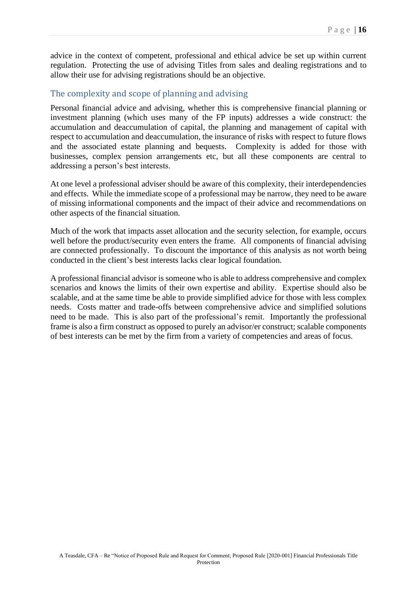advice in the context of competent, professional and ethical advice be set up within current regulation. Protecting the use of advising Titles from sales and dealing registrations and to allow their use for advising registrations should be an objective.

### The complexity and scope of planning and advising

Personal financial advice and advising, whether this is comprehensive financial planning or investment planning (which uses many of the FP inputs) addresses a wide construct: the accumulation and deaccumulation of capital, the planning and management of capital with respect to accumulation and deaccumulation, the insurance of risks with respect to future flows and the associated estate planning and bequests. Complexity is added for those with businesses, complex pension arrangements etc, but all these components are central to addressing a person's best interests.

At one level a professional adviser should be aware of this complexity, their interdependencies and effects. While the immediate scope of a professional may be narrow, they need to be aware of missing informational components and the impact of their advice and recommendations on other aspects of the financial situation.

Much of the work that impacts asset allocation and the security selection, for example, occurs well before the product/security even enters the frame. All components of financial advising are connected professionally. To discount the importance of this analysis as not worth being conducted in the client's best interests lacks clear logical foundation.

A professional financial advisor is someone who is able to address comprehensive and complex scenarios and knows the limits of their own expertise and ability. Expertise should also be scalable, and at the same time be able to provide simplified advice for those with less complex needs. Costs matter and trade-offs between comprehensive advice and simplified solutions need to be made. This is also part of the professional's remit. Importantly the professional frame is also a firm construct as opposed to purely an advisor/er construct; scalable components of best interests can be met by the firm from a variety of competencies and areas of focus.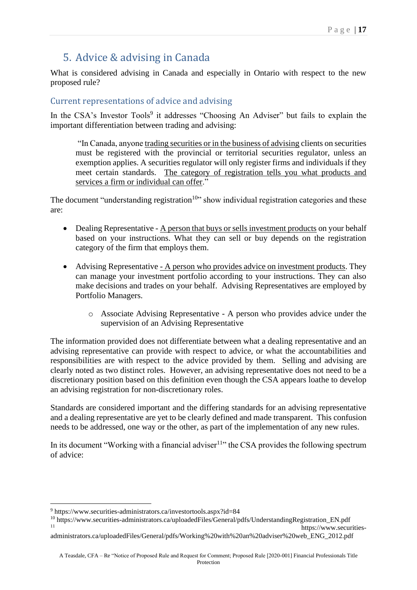# 5. Advice & advising in Canada

What is considered advising in Canada and especially in Ontario with respect to the new proposed rule?

### Current representations of advice and advising

In the CSA's Investor Tools<sup>9</sup> it addresses "Choosing An Adviser" but fails to explain the important differentiation between trading and advising:

"In Canada, anyone trading securities or in the business of advising clients on securities must be registered with the provincial or territorial securities regulator, unless an exemption applies. A securities regulator will only register firms and individuals if they meet certain standards. The category of registration tells you what products and services a firm or individual can offer."

The document "understanding registration<sup>10</sup>" show individual registration categories and these are:

- Dealing Representative A person that buys or sells investment products on your behalf based on your instructions. What they can sell or buy depends on the registration category of the firm that employs them.
- Advising Representative A person who provides advice on investment products. They can manage your investment portfolio according to your instructions. They can also make decisions and trades on your behalf. Advising Representatives are employed by Portfolio Managers.
	- o Associate Advising Representative A person who provides advice under the supervision of an Advising Representative

The information provided does not differentiate between what a dealing representative and an advising representative can provide with respect to advice, or what the accountabilities and responsibilities are with respect to the advice provided by them. Selling and advising are clearly noted as two distinct roles. However, an advising representative does not need to be a discretionary position based on this definition even though the CSA appears loathe to develop an advising registration for non-discretionary roles.

Standards are considered important and the differing standards for an advising representative and a dealing representative are yet to be clearly defined and made transparent. This confusion needs to be addressed, one way or the other, as part of the implementation of any new rules.

In its document "Working with a financial adviser $11$ " the CSA provides the following spectrum of advice:

 $9 \text{ https://www.securities-administrators.ca/investortools. aspx?id=84$ 

<sup>10</sup> https://www.securities-administrators.ca/uploadedFiles/General/pdfs/UnderstandingRegistration\_EN.pdf https://www.securities-

administrators.ca/uploadedFiles/General/pdfs/Working%20with%20an%20adviser%20web\_ENG\_2012.pdf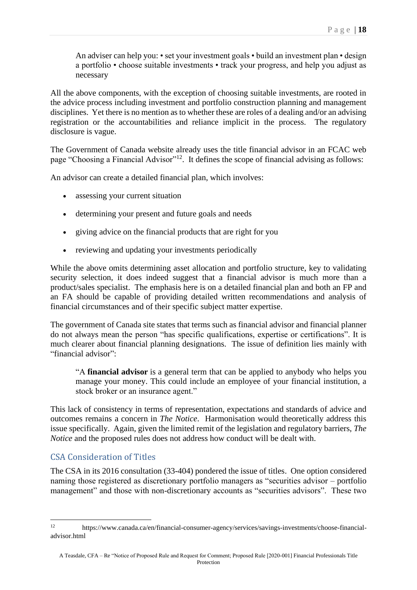An adviser can help you: • set your investment goals • build an investment plan • design a portfolio • choose suitable investments • track your progress, and help you adjust as necessary

All the above components, with the exception of choosing suitable investments, are rooted in the advice process including investment and portfolio construction planning and management disciplines. Yet there is no mention as to whether these are roles of a dealing and/or an advising registration or the accountabilities and reliance implicit in the process. The regulatory disclosure is vague.

The Government of Canada website already uses the title financial advisor in an FCAC web page "Choosing a Financial Advisor"<sup>12</sup>. It defines the scope of financial advising as follows:

An advisor can create a detailed financial plan, which involves:

- assessing your current situation
- determining your present and future goals and needs
- giving advice on the financial products that are right for you
- reviewing and updating your investments periodically

While the above omits determining asset allocation and portfolio structure, key to validating security selection, it does indeed suggest that a financial advisor is much more than a product/sales specialist. The emphasis here is on a detailed financial plan and both an FP and an FA should be capable of providing detailed written recommendations and analysis of financial circumstances and of their specific subject matter expertise.

The government of Canada site states that terms such as financial advisor and financial planner do not always mean the person "has specific qualifications, expertise or certifications". It is much clearer about financial planning designations. The issue of definition lies mainly with "financial advisor":

"A **financial advisor** is a general term that can be applied to anybody who helps you manage your money. This could include an employee of your financial institution, a stock broker or an insurance agent."

This lack of consistency in terms of representation, expectations and standards of advice and outcomes remains a concern in *The Notice*. Harmonisation would theoretically address this issue specifically. Again, given the limited remit of the legislation and regulatory barriers, *The Notice* and the proposed rules does not address how conduct will be dealt with.

### CSA Consideration of Titles

The CSA in its 2016 consultation (33-404) pondered the issue of titles. One option considered naming those registered as discretionary portfolio managers as "securities advisor – portfolio management" and those with non-discretionary accounts as "securities advisors". These two

<sup>12</sup> https://www.canada.ca/en/financial-consumer-agency/services/savings-investments/choose-financialadvisor html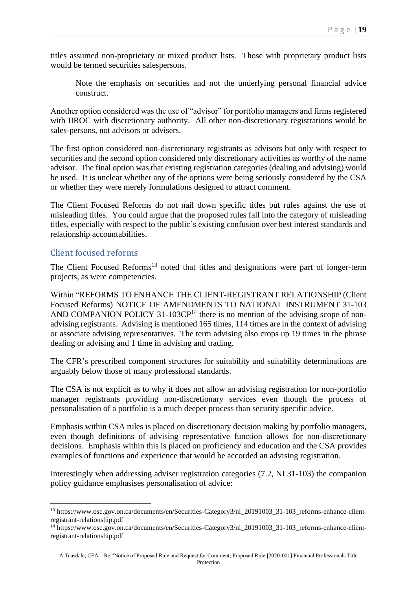titles assumed non-proprietary or mixed product lists. Those with proprietary product lists would be termed securities salespersons.

Note the emphasis on securities and not the underlying personal financial advice construct.

Another option considered was the use of "advisor" for portfolio managers and firms registered with IIROC with discretionary authority. All other non-discretionary registrations would be sales-persons, not advisors or advisers.

The first option considered non-discretionary registrants as advisors but only with respect to securities and the second option considered only discretionary activities as worthy of the name advisor. The final option was that existing registration categories (dealing and advising) would be used. It is unclear whether any of the options were being seriously considered by the CSA or whether they were merely formulations designed to attract comment.

The Client Focused Reforms do not nail down specific titles but rules against the use of misleading titles. You could argue that the proposed rules fall into the category of misleading titles, especially with respect to the public's existing confusion over best interest standards and relationship accountabilities.

### Client focused reforms

The Client Focused Reforms<sup>13</sup> noted that titles and designations were part of longer-term projects, as were competencies.

Within "REFORMS TO ENHANCE THE CLIENT-REGISTRANT RELATIONSHIP (Client Focused Reforms) NOTICE OF AMENDMENTS TO NATIONAL INSTRUMENT 31-103 AND COMPANION POLICY 31-103CP<sup>14</sup> there is no mention of the advising scope of nonadvising registrants. Advising is mentioned 165 times, 114 times are in the context of advising or associate advising representatives. The term advising also crops up 19 times in the phrase dealing or advising and 1 time in advising and trading.

The CFR's prescribed component structures for suitability and suitability determinations are arguably below those of many professional standards.

The CSA is not explicit as to why it does not allow an advising registration for non-portfolio manager registrants providing non-discretionary services even though the process of personalisation of a portfolio is a much deeper process than security specific advice.

Emphasis within CSA rules is placed on discretionary decision making by portfolio managers, even though definitions of advising representative function allows for non-discretionary decisions. Emphasis within this is placed on proficiency and education and the CSA provides examples of functions and experience that would be accorded an advising registration.

Interestingly when addressing adviser registration categories (7.2, NI 31-103) the companion policy guidance emphasises personalisation of advice:

<sup>&</sup>lt;sup>13</sup> https://www.osc.gov.on.ca/documents/en/Securities-Category3/ni\_20191003\_31-103\_reforms-enhance-clientregistrant-relationship.pdf

<sup>14</sup> https://www.osc.gov.on.ca/documents/en/Securities-Category3/ni\_20191003\_31-103\_reforms-enhance-clientregistrant-relationship.pdf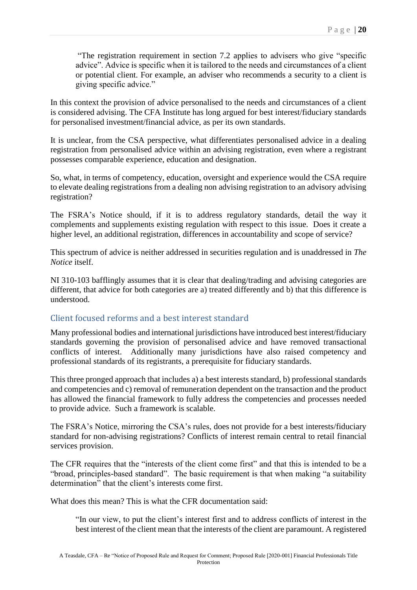"The registration requirement in section 7.2 applies to advisers who give "specific advice". Advice is specific when it is tailored to the needs and circumstances of a client or potential client. For example, an adviser who recommends a security to a client is giving specific advice."

In this context the provision of advice personalised to the needs and circumstances of a client is considered advising. The CFA Institute has long argued for best interest/fiduciary standards for personalised investment/financial advice, as per its own standards.

It is unclear, from the CSA perspective, what differentiates personalised advice in a dealing registration from personalised advice within an advising registration, even where a registrant possesses comparable experience, education and designation.

So, what, in terms of competency, education, oversight and experience would the CSA require to elevate dealing registrations from a dealing non advising registration to an advisory advising registration?

The FSRA's Notice should, if it is to address regulatory standards, detail the way it complements and supplements existing regulation with respect to this issue. Does it create a higher level, an additional registration, differences in accountability and scope of service?

This spectrum of advice is neither addressed in securities regulation and is unaddressed in *The Notice* itself.

NI 310-103 bafflingly assumes that it is clear that dealing/trading and advising categories are different, that advice for both categories are a) treated differently and b) that this difference is understood.

### Client focused reforms and a best interest standard

Many professional bodies and international jurisdictions have introduced best interest/fiduciary standards governing the provision of personalised advice and have removed transactional conflicts of interest. Additionally many jurisdictions have also raised competency and professional standards of its registrants, a prerequisite for fiduciary standards.

This three pronged approach that includes a) a best interests standard, b) professional standards and competencies and c) removal of remuneration dependent on the transaction and the product has allowed the financial framework to fully address the competencies and processes needed to provide advice. Such a framework is scalable.

The FSRA's Notice, mirroring the CSA's rules, does not provide for a best interests/fiduciary standard for non-advising registrations? Conflicts of interest remain central to retail financial services provision.

The CFR requires that the "interests of the client come first" and that this is intended to be a "broad, principles-based standard". The basic requirement is that when making "a suitability determination" that the client's interests come first.

What does this mean? This is what the CFR documentation said:

"In our view, to put the client's interest first and to address conflicts of interest in the best interest of the client mean that the interests of the client are paramount. A registered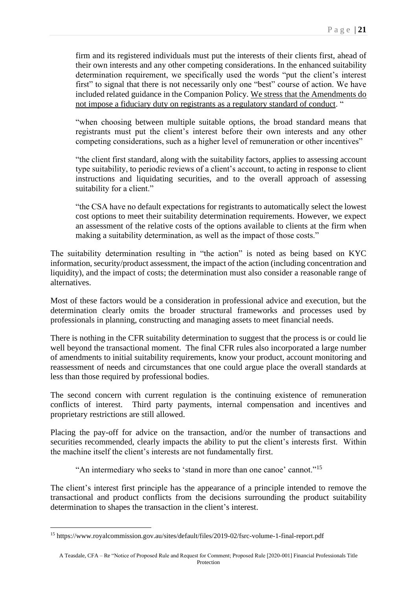firm and its registered individuals must put the interests of their clients first, ahead of their own interests and any other competing considerations. In the enhanced suitability determination requirement, we specifically used the words "put the client's interest first" to signal that there is not necessarily only one "best" course of action. We have included related guidance in the Companion Policy. We stress that the Amendments do not impose a fiduciary duty on registrants as a regulatory standard of conduct. "

"when choosing between multiple suitable options, the broad standard means that registrants must put the client's interest before their own interests and any other competing considerations, such as a higher level of remuneration or other incentives"

"the client first standard, along with the suitability factors, applies to assessing account type suitability, to periodic reviews of a client's account, to acting in response to client instructions and liquidating securities, and to the overall approach of assessing suitability for a client."

"the CSA have no default expectations for registrants to automatically select the lowest cost options to meet their suitability determination requirements. However, we expect an assessment of the relative costs of the options available to clients at the firm when making a suitability determination, as well as the impact of those costs."

The suitability determination resulting in "the action" is noted as being based on KYC information, security/product assessment, the impact of the action (including concentration and liquidity), and the impact of costs; the determination must also consider a reasonable range of alternatives.

Most of these factors would be a consideration in professional advice and execution, but the determination clearly omits the broader structural frameworks and processes used by professionals in planning, constructing and managing assets to meet financial needs.

There is nothing in the CFR suitability determination to suggest that the process is or could lie well beyond the transactional moment. The final CFR rules also incorporated a large number of amendments to initial suitability requirements, know your product, account monitoring and reassessment of needs and circumstances that one could argue place the overall standards at less than those required by professional bodies.

The second concern with current regulation is the continuing existence of remuneration conflicts of interest. Third party payments, internal compensation and incentives and proprietary restrictions are still allowed.

Placing the pay-off for advice on the transaction, and/or the number of transactions and securities recommended, clearly impacts the ability to put the client's interests first. Within the machine itself the client's interests are not fundamentally first.

"An intermediary who seeks to 'stand in more than one canoe' cannot."<sup>15</sup>

The client's interest first principle has the appearance of a principle intended to remove the transactional and product conflicts from the decisions surrounding the product suitability determination to shapes the transaction in the client's interest.

<sup>15</sup> https://www.royalcommission.gov.au/sites/default/files/2019-02/fsrc-volume-1-final-report.pdf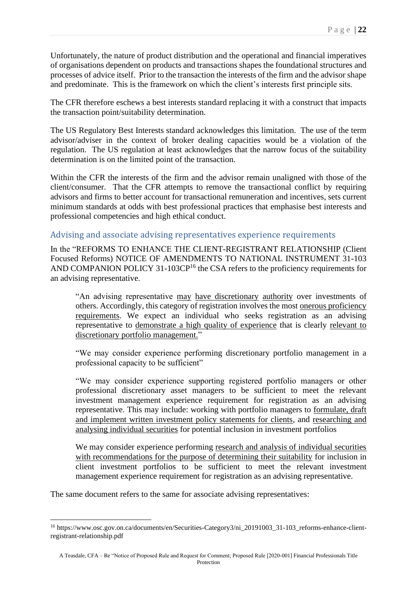Unfortunately, the nature of product distribution and the operational and financial imperatives of organisations dependent on products and transactions shapes the foundational structures and processes of advice itself. Prior to the transaction the interests of the firm and the advisor shape and predominate. This is the framework on which the client's interests first principle sits.

The CFR therefore eschews a best interests standard replacing it with a construct that impacts the transaction point/suitability determination.

The US Regulatory Best Interests standard acknowledges this limitation. The use of the term advisor/adviser in the context of broker dealing capacities would be a violation of the regulation. The US regulation at least acknowledges that the narrow focus of the suitability determination is on the limited point of the transaction.

Within the CFR the interests of the firm and the advisor remain unaligned with those of the client/consumer. That the CFR attempts to remove the transactional conflict by requiring advisors and firms to better account for transactional remuneration and incentives, sets current minimum standards at odds with best professional practices that emphasise best interests and professional competencies and high ethical conduct.

#### Advising and associate advising representatives experience requirements

In the "REFORMS TO ENHANCE THE CLIENT-REGISTRANT RELATIONSHIP (Client Focused Reforms) NOTICE OF AMENDMENTS TO NATIONAL INSTRUMENT 31-103 AND COMPANION POLICY 31-103CP<sup>16</sup> the CSA refers to the proficiency requirements for an advising representative.

"An advising representative may have discretionary authority over investments of others. Accordingly, this category of registration involves the most onerous proficiency requirements. We expect an individual who seeks registration as an advising representative to demonstrate a high quality of experience that is clearly relevant to discretionary portfolio management."

"We may consider experience performing discretionary portfolio management in a professional capacity to be sufficient"

"We may consider experience supporting registered portfolio managers or other professional discretionary asset managers to be sufficient to meet the relevant investment management experience requirement for registration as an advising representative. This may include: working with portfolio managers to formulate, draft and implement written investment policy statements for clients, and researching and analysing individual securities for potential inclusion in investment portfolios

We may consider experience performing research and analysis of individual securities with recommendations for the purpose of determining their suitability for inclusion in client investment portfolios to be sufficient to meet the relevant investment management experience requirement for registration as an advising representative.

The same document refers to the same for associate advising representatives:

<sup>&</sup>lt;sup>16</sup> https://www.osc.gov.on.ca/documents/en/Securities-Category3/ni\_20191003\_31-103\_reforms-enhance-clientregistrant-relationship.pdf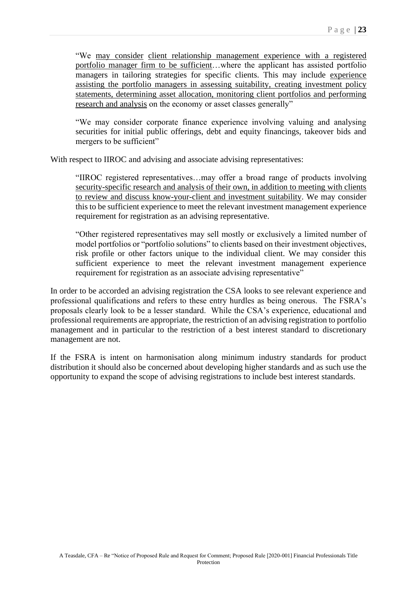"We may consider client relationship management experience with a registered portfolio manager firm to be sufficient…where the applicant has assisted portfolio managers in tailoring strategies for specific clients. This may include experience assisting the portfolio managers in assessing suitability, creating investment policy statements, determining asset allocation, monitoring client portfolios and performing research and analysis on the economy or asset classes generally"

"We may consider corporate finance experience involving valuing and analysing securities for initial public offerings, debt and equity financings, takeover bids and mergers to be sufficient"

With respect to IIROC and advising and associate advising representatives:

"IIROC registered representatives…may offer a broad range of products involving security-specific research and analysis of their own, in addition to meeting with clients to review and discuss know-your-client and investment suitability. We may consider this to be sufficient experience to meet the relevant investment management experience requirement for registration as an advising representative.

"Other registered representatives may sell mostly or exclusively a limited number of model portfolios or "portfolio solutions" to clients based on their investment objectives, risk profile or other factors unique to the individual client. We may consider this sufficient experience to meet the relevant investment management experience requirement for registration as an associate advising representative"

In order to be accorded an advising registration the CSA looks to see relevant experience and professional qualifications and refers to these entry hurdles as being onerous. The FSRA's proposals clearly look to be a lesser standard. While the CSA's experience, educational and professional requirements are appropriate, the restriction of an advising registration to portfolio management and in particular to the restriction of a best interest standard to discretionary management are not.

If the FSRA is intent on harmonisation along minimum industry standards for product distribution it should also be concerned about developing higher standards and as such use the opportunity to expand the scope of advising registrations to include best interest standards.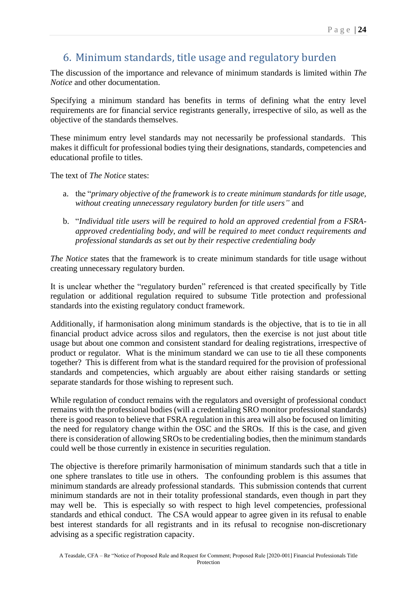# 6. Minimum standards, title usage and regulatory burden

The discussion of the importance and relevance of minimum standards is limited within *The Notice* and other documentation.

Specifying a minimum standard has benefits in terms of defining what the entry level requirements are for financial service registrants generally, irrespective of silo, as well as the objective of the standards themselves.

These minimum entry level standards may not necessarily be professional standards. This makes it difficult for professional bodies tying their designations, standards, competencies and educational profile to titles.

The text of *The Notice* states:

- a. the "*primary objective of the framework is to create minimum standards for title usage, without creating unnecessary regulatory burden for title users"* and
- b. "*Individual title users will be required to hold an approved credential from a FSRAapproved credentialing body, and will be required to meet conduct requirements and professional standards as set out by their respective credentialing body*

*The Notice* states that the framework is to create minimum standards for title usage without creating unnecessary regulatory burden.

It is unclear whether the "regulatory burden" referenced is that created specifically by Title regulation or additional regulation required to subsume Title protection and professional standards into the existing regulatory conduct framework.

Additionally, if harmonisation along minimum standards is the objective, that is to tie in all financial product advice across silos and regulators, then the exercise is not just about title usage but about one common and consistent standard for dealing registrations, irrespective of product or regulator. What is the minimum standard we can use to tie all these components together? This is different from what is the standard required for the provision of professional standards and competencies, which arguably are about either raising standards or setting separate standards for those wishing to represent such.

While regulation of conduct remains with the regulators and oversight of professional conduct remains with the professional bodies (will a credentialing SRO monitor professional standards) there is good reason to believe that FSRA regulation in this area will also be focused on limiting the need for regulatory change within the OSC and the SROs. If this is the case, and given there is consideration of allowing SROs to be credentialing bodies, then the minimum standards could well be those currently in existence in securities regulation.

The objective is therefore primarily harmonisation of minimum standards such that a title in one sphere translates to title use in others. The confounding problem is this assumes that minimum standards are already professional standards. This submission contends that current minimum standards are not in their totality professional standards, even though in part they may well be. This is especially so with respect to high level competencies, professional standards and ethical conduct. The CSA would appear to agree given in its refusal to enable best interest standards for all registrants and in its refusal to recognise non-discretionary advising as a specific registration capacity.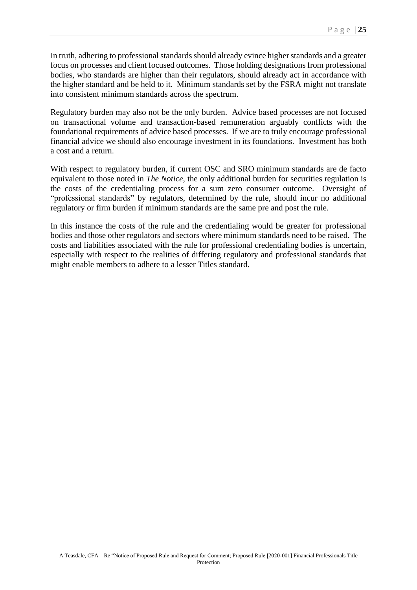In truth, adhering to professional standards should already evince higher standards and a greater focus on processes and client focused outcomes. Those holding designations from professional bodies, who standards are higher than their regulators, should already act in accordance with the higher standard and be held to it. Minimum standards set by the FSRA might not translate into consistent minimum standards across the spectrum.

Regulatory burden may also not be the only burden. Advice based processes are not focused on transactional volume and transaction-based remuneration arguably conflicts with the foundational requirements of advice based processes. If we are to truly encourage professional financial advice we should also encourage investment in its foundations. Investment has both a cost and a return.

With respect to regulatory burden, if current OSC and SRO minimum standards are de facto equivalent to those noted in *The Notice*, the only additional burden for securities regulation is the costs of the credentialing process for a sum zero consumer outcome. Oversight of "professional standards" by regulators, determined by the rule, should incur no additional regulatory or firm burden if minimum standards are the same pre and post the rule.

In this instance the costs of the rule and the credentialing would be greater for professional bodies and those other regulators and sectors where minimum standards need to be raised. The costs and liabilities associated with the rule for professional credentialing bodies is uncertain, especially with respect to the realities of differing regulatory and professional standards that might enable members to adhere to a lesser Titles standard.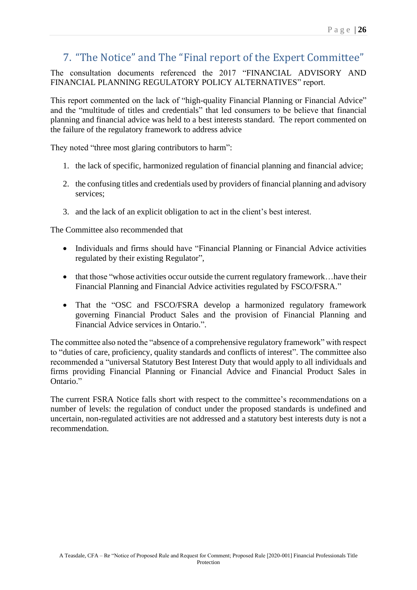# 7. "The Notice" and The "Final report of the Expert Committee"

The consultation documents referenced the 2017 "FINANCIAL ADVISORY AND FINANCIAL PLANNING REGULATORY POLICY ALTERNATIVES" report.

This report commented on the lack of "high-quality Financial Planning or Financial Advice" and the "multitude of titles and credentials" that led consumers to be believe that financial planning and financial advice was held to a best interests standard. The report commented on the failure of the regulatory framework to address advice

They noted "three most glaring contributors to harm":

- 1. the lack of specific, harmonized regulation of financial planning and financial advice;
- 2. the confusing titles and credentials used by providers of financial planning and advisory services;
- 3. and the lack of an explicit obligation to act in the client's best interest.

The Committee also recommended that

- Individuals and firms should have "Financial Planning or Financial Advice activities regulated by their existing Regulator",
- that those "whose activities occur outside the current regulatory framework...have their Financial Planning and Financial Advice activities regulated by FSCO/FSRA."
- That the "OSC and FSCO/FSRA develop a harmonized regulatory framework governing Financial Product Sales and the provision of Financial Planning and Financial Advice services in Ontario.".

The committee also noted the "absence of a comprehensive regulatory framework" with respect to "duties of care, proficiency, quality standards and conflicts of interest". The committee also recommended a "universal Statutory Best Interest Duty that would apply to all individuals and firms providing Financial Planning or Financial Advice and Financial Product Sales in Ontario."

The current FSRA Notice falls short with respect to the committee's recommendations on a number of levels: the regulation of conduct under the proposed standards is undefined and uncertain, non-regulated activities are not addressed and a statutory best interests duty is not a recommendation.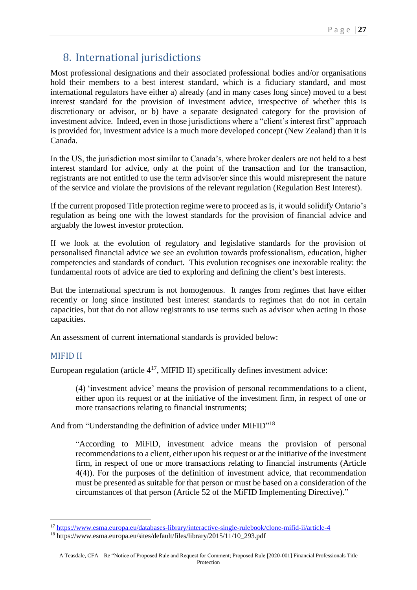# 8. International jurisdictions

Most professional designations and their associated professional bodies and/or organisations hold their members to a best interest standard, which is a fiduciary standard, and most international regulators have either a) already (and in many cases long since) moved to a best interest standard for the provision of investment advice, irrespective of whether this is discretionary or advisor, or b) have a separate designated category for the provision of investment advice. Indeed, even in those jurisdictions where a "client's interest first" approach is provided for, investment advice is a much more developed concept (New Zealand) than it is Canada.

In the US, the jurisdiction most similar to Canada's, where broker dealers are not held to a best interest standard for advice, only at the point of the transaction and for the transaction, registrants are not entitled to use the term advisor/er since this would misrepresent the nature of the service and violate the provisions of the relevant regulation (Regulation Best Interest).

If the current proposed Title protection regime were to proceed as is, it would solidify Ontario's regulation as being one with the lowest standards for the provision of financial advice and arguably the lowest investor protection.

If we look at the evolution of regulatory and legislative standards for the provision of personalised financial advice we see an evolution towards professionalism, education, higher competencies and standards of conduct. This evolution recognises one inexorable reality: the fundamental roots of advice are tied to exploring and defining the client's best interests.

But the international spectrum is not homogenous. It ranges from regimes that have either recently or long since instituted best interest standards to regimes that do not in certain capacities, but that do not allow registrants to use terms such as advisor when acting in those capacities.

An assessment of current international standards is provided below:

### MIFID II

European regulation (article  $4^{17}$ , MIFID II) specifically defines investment advice:

(4) 'investment advice' means the provision of personal recommendations to a client, either upon its request or at the initiative of the investment firm, in respect of one or more transactions relating to financial instruments;

And from "Understanding the definition of advice under MiFID"<sup>18</sup>

"According to MiFID, investment advice means the provision of personal recommendations to a client, either upon his request or at the initiative of the investment firm, in respect of one or more transactions relating to financial instruments (Article 4(4)). For the purposes of the definition of investment advice, that recommendation must be presented as suitable for that person or must be based on a consideration of the circumstances of that person (Article 52 of the MiFID Implementing Directive)."

<sup>17</sup> <https://www.esma.europa.eu/databases-library/interactive-single-rulebook/clone-mifid-ii/article-4>

<sup>&</sup>lt;sup>18</sup> https://www.esma.europa.eu/sites/default/files/library/2015/11/10\_293.pdf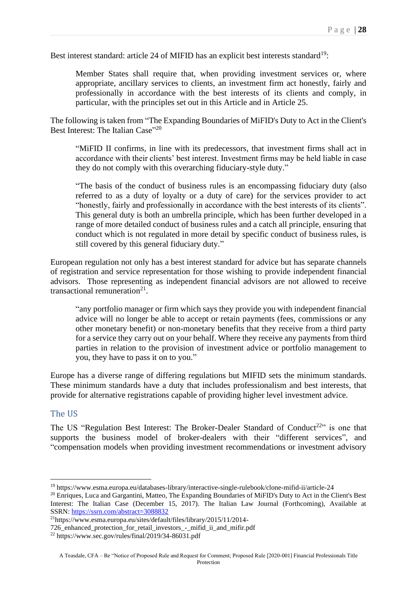Best interest standard: article 24 of MIFID has an explicit best interests standard<sup>19</sup>:

Member States shall require that, when providing investment services or, where appropriate, ancillary services to clients, an investment firm act honestly, fairly and professionally in accordance with the best interests of its clients and comply, in particular, with the principles set out in this Article and in Article 25.

The following is taken from "The Expanding Boundaries of MiFID's Duty to Act in the Client's Best Interest: The Italian Case"<sup>20</sup>

"MiFID II confirms, in line with its predecessors, that investment firms shall act in accordance with their clients' best interest. Investment firms may be held liable in case they do not comply with this overarching fiduciary-style duty."

"The basis of the conduct of business rules is an encompassing fiduciary duty (also referred to as a duty of loyalty or a duty of care) for the services provider to act "honestly, fairly and professionally in accordance with the best interests of its clients". This general duty is both an umbrella principle, which has been further developed in a range of more detailed conduct of business rules and a catch all principle, ensuring that conduct which is not regulated in more detail by specific conduct of business rules, is still covered by this general fiduciary duty."

European regulation not only has a best interest standard for advice but has separate channels of registration and service representation for those wishing to provide independent financial advisors. Those representing as independent financial advisors are not allowed to receive transactional remuneration<sup>21</sup>.

"any portfolio manager or firm which says they provide you with independent financial advice will no longer be able to accept or retain payments (fees, commissions or any other monetary benefit) or non-monetary benefits that they receive from a third party for a service they carry out on your behalf. Where they receive any payments from third parties in relation to the provision of investment advice or portfolio management to you, they have to pass it on to you."

Europe has a diverse range of differing regulations but MIFID sets the minimum standards. These minimum standards have a duty that includes professionalism and best interests, that provide for alternative registrations capable of providing higher level investment advice.

#### The US

The US "Regulation Best Interest: The Broker-Dealer Standard of Conduct<sup>22</sup>" is one that supports the business model of broker-dealers with their "different services", and "compensation models when providing investment recommendations or investment advisory

<sup>19</sup> https://www.esma.europa.eu/databases-library/interactive-single-rulebook/clone-mifid-ii/article-24

<sup>&</sup>lt;sup>20</sup> Enriques, Luca and Gargantini, Matteo, The Expanding Boundaries of MiFID's Duty to Act in the Client's Best Interest: The Italian Case (December 15, 2017). The Italian Law Journal (Forthcoming), Available at SSRN: <https://ssrn.com/abstract=3088832>

<sup>21</sup>https://www.esma.europa.eu/sites/default/files/library/2015/11/2014-

<sup>726</sup>\_enhanced\_protection\_for\_retail\_investors\_-\_mifid\_ii\_and\_mifir.pdf

<sup>22</sup> https://www.sec.gov/rules/final/2019/34-86031.pdf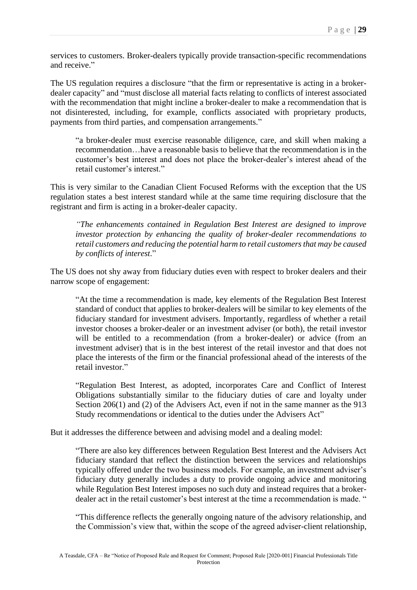services to customers. Broker-dealers typically provide transaction-specific recommendations and receive."

The US regulation requires a disclosure "that the firm or representative is acting in a brokerdealer capacity" and "must disclose all material facts relating to conflicts of interest associated with the recommendation that might incline a broker-dealer to make a recommendation that is not disinterested, including, for example, conflicts associated with proprietary products, payments from third parties, and compensation arrangements."

"a broker-dealer must exercise reasonable diligence, care, and skill when making a recommendation…have a reasonable basis to believe that the recommendation is in the customer's best interest and does not place the broker-dealer's interest ahead of the retail customer's interest."

This is very similar to the Canadian Client Focused Reforms with the exception that the US regulation states a best interest standard while at the same time requiring disclosure that the registrant and firm is acting in a broker-dealer capacity.

*"The enhancements contained in Regulation Best Interest are designed to improve investor protection by enhancing the quality of broker-dealer recommendations to retail customers and reducing the potential harm to retail customers that may be caused by conflicts of interest*."

The US does not shy away from fiduciary duties even with respect to broker dealers and their narrow scope of engagement:

"At the time a recommendation is made, key elements of the Regulation Best Interest standard of conduct that applies to broker-dealers will be similar to key elements of the fiduciary standard for investment advisers. Importantly, regardless of whether a retail investor chooses a broker-dealer or an investment adviser (or both), the retail investor will be entitled to a recommendation (from a broker-dealer) or advice (from an investment adviser) that is in the best interest of the retail investor and that does not place the interests of the firm or the financial professional ahead of the interests of the retail investor."

"Regulation Best Interest, as adopted, incorporates Care and Conflict of Interest Obligations substantially similar to the fiduciary duties of care and loyalty under Section 206(1) and (2) of the Advisers Act, even if not in the same manner as the 913 Study recommendations or identical to the duties under the Advisers Act"

But it addresses the difference between and advising model and a dealing model:

"There are also key differences between Regulation Best Interest and the Advisers Act fiduciary standard that reflect the distinction between the services and relationships typically offered under the two business models. For example, an investment adviser's fiduciary duty generally includes a duty to provide ongoing advice and monitoring while Regulation Best Interest imposes no such duty and instead requires that a brokerdealer act in the retail customer's best interest at the time a recommendation is made. "

"This difference reflects the generally ongoing nature of the advisory relationship, and the Commission's view that, within the scope of the agreed adviser-client relationship,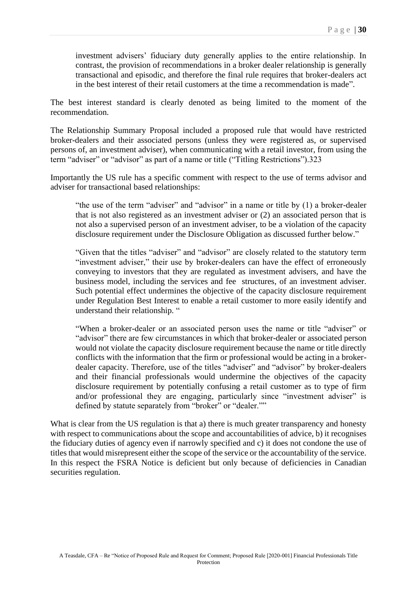investment advisers' fiduciary duty generally applies to the entire relationship. In contrast, the provision of recommendations in a broker dealer relationship is generally transactional and episodic, and therefore the final rule requires that broker-dealers act in the best interest of their retail customers at the time a recommendation is made".

The best interest standard is clearly denoted as being limited to the moment of the recommendation.

The Relationship Summary Proposal included a proposed rule that would have restricted broker-dealers and their associated persons (unless they were registered as, or supervised persons of, an investment adviser), when communicating with a retail investor, from using the term "adviser" or "advisor" as part of a name or title ("Titling Restrictions").323

Importantly the US rule has a specific comment with respect to the use of terms advisor and adviser for transactional based relationships:

"the use of the term "adviser" and "advisor" in a name or title by (1) a broker-dealer that is not also registered as an investment adviser or (2) an associated person that is not also a supervised person of an investment adviser, to be a violation of the capacity disclosure requirement under the Disclosure Obligation as discussed further below."

"Given that the titles "adviser" and "advisor" are closely related to the statutory term "investment adviser," their use by broker-dealers can have the effect of erroneously conveying to investors that they are regulated as investment advisers, and have the business model, including the services and fee structures, of an investment adviser. Such potential effect undermines the objective of the capacity disclosure requirement under Regulation Best Interest to enable a retail customer to more easily identify and understand their relationship. "

"When a broker-dealer or an associated person uses the name or title "adviser" or "advisor" there are few circumstances in which that broker-dealer or associated person would not violate the capacity disclosure requirement because the name or title directly conflicts with the information that the firm or professional would be acting in a brokerdealer capacity. Therefore, use of the titles "adviser" and "advisor" by broker-dealers and their financial professionals would undermine the objectives of the capacity disclosure requirement by potentially confusing a retail customer as to type of firm and/or professional they are engaging, particularly since "investment adviser" is defined by statute separately from "broker" or "dealer.""

What is clear from the US regulation is that a) there is much greater transparency and honesty with respect to communications about the scope and accountabilities of advice, b) it recognises the fiduciary duties of agency even if narrowly specified and c) it does not condone the use of titles that would misrepresent either the scope of the service or the accountability of the service. In this respect the FSRA Notice is deficient but only because of deficiencies in Canadian securities regulation.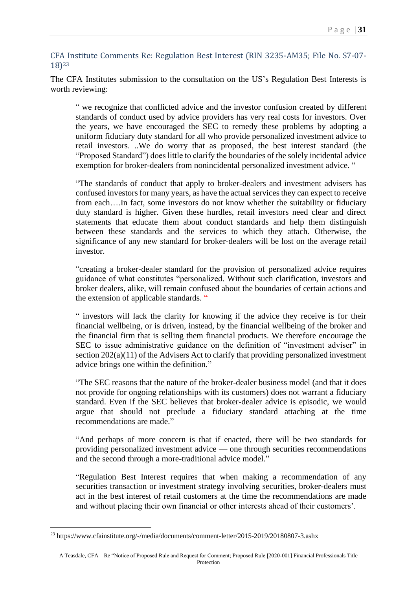CFA Institute Comments Re: Regulation Best Interest (RIN 3235-AM35; File No. S7-07- 18)<sup>23</sup>

The CFA Institutes submission to the consultation on the US's Regulation Best Interests is worth reviewing:

" we recognize that conflicted advice and the investor confusion created by different standards of conduct used by advice providers has very real costs for investors. Over the years, we have encouraged the SEC to remedy these problems by adopting a uniform fiduciary duty standard for all who provide personalized investment advice to retail investors. ..We do worry that as proposed, the best interest standard (the "Proposed Standard") does little to clarify the boundaries of the solely incidental advice exemption for broker-dealers from nonincidental personalized investment advice. "

"The standards of conduct that apply to broker-dealers and investment advisers has confused investors for many years, as have the actual services they can expect to receive from each….In fact, some investors do not know whether the suitability or fiduciary duty standard is higher. Given these hurdles, retail investors need clear and direct statements that educate them about conduct standards and help them distinguish between these standards and the services to which they attach. Otherwise, the significance of any new standard for broker-dealers will be lost on the average retail investor.

"creating a broker-dealer standard for the provision of personalized advice requires guidance of what constitutes "personalized. Without such clarification, investors and broker dealers, alike, will remain confused about the boundaries of certain actions and the extension of applicable standards. "

" investors will lack the clarity for knowing if the advice they receive is for their financial wellbeing, or is driven, instead, by the financial wellbeing of the broker and the financial firm that is selling them financial products. We therefore encourage the SEC to issue administrative guidance on the definition of "investment adviser" in section 202(a)(11) of the Advisers Act to clarify that providing personalized investment advice brings one within the definition."

"The SEC reasons that the nature of the broker-dealer business model (and that it does not provide for ongoing relationships with its customers) does not warrant a fiduciary standard. Even if the SEC believes that broker-dealer advice is episodic, we would argue that should not preclude a fiduciary standard attaching at the time recommendations are made."

"And perhaps of more concern is that if enacted, there will be two standards for providing personalized investment advice — one through securities recommendations and the second through a more-traditional advice model."

"Regulation Best Interest requires that when making a recommendation of any securities transaction or investment strategy involving securities, broker-dealers must act in the best interest of retail customers at the time the recommendations are made and without placing their own financial or other interests ahead of their customers'.

<sup>23</sup> https://www.cfainstitute.org/-/media/documents/comment-letter/2015-2019/20180807-3.ashx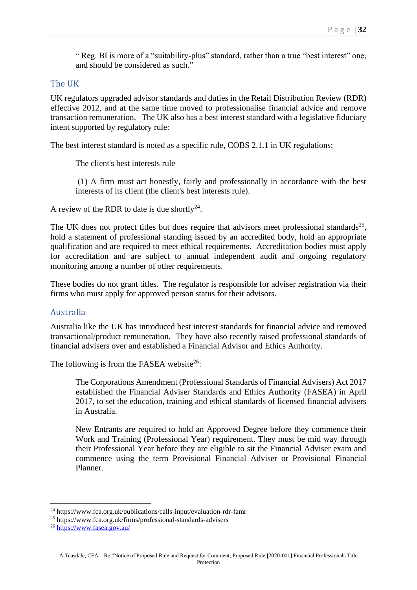" Reg. BI is more of a "suitability-plus" standard, rather than a true "best interest" one, and should be considered as such."

#### The UK

UK regulators upgraded advisor standards and duties in the Retail Distribution Review (RDR) effective 2012, and at the same time moved to professionalise financial advice and remove transaction remuneration. The UK also has a best interest standard with a legislative fiduciary intent supported by regulatory rule:

The best interest standard is noted as a specific rule, COBS 2.1.1 in UK regulations:

The client's best interests rule

(1) A firm must act honestly, fairly and professionally in accordance with the best interests of its client (the client's best interests rule).

A review of the RDR to date is due shortly<sup>24</sup>.

The UK does not protect titles but does require that advisors meet professional standards<sup>25</sup>, hold a statement of professional standing issued by an accredited body, hold an appropriate qualification and are required to meet ethical requirements. Accreditation bodies must apply for accreditation and are subject to annual independent audit and ongoing regulatory monitoring among a number of other requirements.

These bodies do not grant titles. The regulator is responsible for adviser registration via their firms who must apply for approved person status for their advisors.

### Australia

Australia like the UK has introduced best interest standards for financial advice and removed transactional/product remuneration. They have also recently raised professional standards of financial advisers over and established a Financial Advisor and Ethics Authority.

The following is from the FASEA website<sup>26</sup>:

The Corporations Amendment (Professional Standards of Financial Advisers) Act 2017 established the Financial Adviser Standards and Ethics Authority (FASEA) in April 2017, to set the education, training and ethical standards of licensed financial advisers in Australia.

New Entrants are required to hold an Approved Degree before they commence their Work and Training (Professional Year) requirement. They must be mid way through their Professional Year before they are eligible to sit the Financial Adviser exam and commence using the term Provisional Financial Adviser or Provisional Financial Planner.

<sup>24</sup> https://www.fca.org.uk/publications/calls-input/evaluation-rdr-famr

<sup>25</sup> https://www.fca.org.uk/firms/professional-standards-advisers

<sup>26</sup> <https://www.fasea.gov.au/>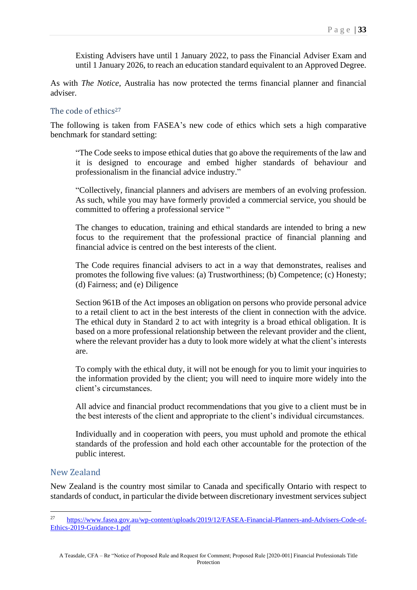Existing Advisers have until 1 January 2022, to pass the Financial Adviser Exam and until 1 January 2026, to reach an education standard equivalent to an Approved Degree.

As with *The Notice*, Australia has now protected the terms financial planner and financial adviser.

#### The code of ethics<sup>27</sup>

The following is taken from FASEA's new code of ethics which sets a high comparative benchmark for standard setting:

"The Code seeks to impose ethical duties that go above the requirements of the law and it is designed to encourage and embed higher standards of behaviour and professionalism in the financial advice industry."

"Collectively, financial planners and advisers are members of an evolving profession. As such, while you may have formerly provided a commercial service, you should be committed to offering a professional service "

The changes to education, training and ethical standards are intended to bring a new focus to the requirement that the professional practice of financial planning and financial advice is centred on the best interests of the client.

The Code requires financial advisers to act in a way that demonstrates, realises and promotes the following five values: (a) Trustworthiness; (b) Competence; (c) Honesty; (d) Fairness; and (e) Diligence

Section 961B of the Act imposes an obligation on persons who provide personal advice to a retail client to act in the best interests of the client in connection with the advice. The ethical duty in Standard 2 to act with integrity is a broad ethical obligation. It is based on a more professional relationship between the relevant provider and the client, where the relevant provider has a duty to look more widely at what the client's interests are.

To comply with the ethical duty, it will not be enough for you to limit your inquiries to the information provided by the client; you will need to inquire more widely into the client's circumstances.

All advice and financial product recommendations that you give to a client must be in the best interests of the client and appropriate to the client's individual circumstances.

Individually and in cooperation with peers, you must uphold and promote the ethical standards of the profession and hold each other accountable for the protection of the public interest.

### New Zealand

New Zealand is the country most similar to Canada and specifically Ontario with respect to standards of conduct, in particular the divide between discretionary investment services subject

<sup>27</sup> [https://www.fasea.gov.au/wp-content/uploads/2019/12/FASEA-Financial-Planners-and-Advisers-Code-of-](https://www.fasea.gov.au/wp-content/uploads/2019/12/FASEA-Financial-Planners-and-Advisers-Code-of-Ethics-2019-Guidance-1.pdf)[Ethics-2019-Guidance-1.pdf](https://www.fasea.gov.au/wp-content/uploads/2019/12/FASEA-Financial-Planners-and-Advisers-Code-of-Ethics-2019-Guidance-1.pdf)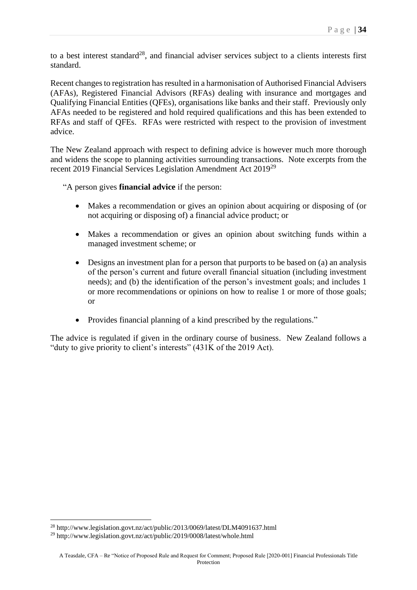to a best interest standard<sup>28</sup>, and financial adviser services subject to a clients interests first standard.

Recent changes to registration has resulted in a harmonisation of Authorised Financial Advisers (AFAs), Registered Financial Advisors (RFAs) dealing with insurance and mortgages and Qualifying Financial Entities (QFEs), organisations like banks and their staff. Previously only AFAs needed to be registered and hold required qualifications and this has been extended to RFAs and staff of QFEs. RFAs were restricted with respect to the provision of investment advice.

The New Zealand approach with respect to defining advice is however much more thorough and widens the scope to planning activities surrounding transactions. Note excerpts from the recent 2019 Financial Services Legislation Amendment Act 2019<sup>29</sup>

"A person gives **financial advice** if the person:

- Makes a recommendation or gives an opinion about acquiring or disposing of (or not acquiring or disposing of) a financial advice product; or
- Makes a recommendation or gives an opinion about switching funds within a managed investment scheme; or
- Designs an investment plan for a person that purports to be based on (a) an analysis of the person's current and future overall financial situation (including investment needs); and (b) the identification of the person's investment goals; and includes 1 or more recommendations or opinions on how to realise 1 or more of those goals; or
- Provides financial planning of a kind prescribed by the regulations."

The advice is regulated if given in the ordinary course of business. New Zealand follows a "duty to give priority to client's interests" (431K of the 2019 Act).

<sup>28</sup> http://www.legislation.govt.nz/act/public/2013/0069/latest/DLM4091637.html

<sup>29</sup> http://www.legislation.govt.nz/act/public/2019/0008/latest/whole.html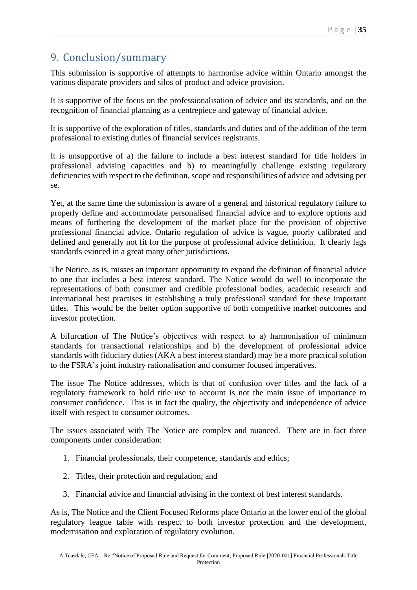# 9. Conclusion/summary

This submission is supportive of attempts to harmonise advice within Ontario amongst the various disparate providers and silos of product and advice provision.

It is supportive of the focus on the professionalisation of advice and its standards, and on the recognition of financial planning as a centrepiece and gateway of financial advice.

It is supportive of the exploration of titles, standards and duties and of the addition of the term professional to existing duties of financial services registrants.

It is unsupportive of a) the failure to include a best interest standard for title holders in professional advising capacities and b) to meaningfully challenge existing regulatory deficiencies with respect to the definition, scope and responsibilities of advice and advising per se.

Yet, at the same time the submission is aware of a general and historical regulatory failure to properly define and accommodate personalised financial advice and to explore options and means of furthering the development of the market place for the provision of objective professional financial advice. Ontario regulation of advice is vague, poorly calibrated and defined and generally not fit for the purpose of professional advice definition. It clearly lags standards evinced in a great many other jurisdictions.

The Notice, as is, misses an important opportunity to expand the definition of financial advice to one that includes a best interest standard. The Notice would do well to incorporate the representations of both consumer and credible professional bodies, academic research and international best practises in establishing a truly professional standard for these important titles. This would be the better option supportive of both competitive market outcomes and investor protection.

A bifurcation of The Notice's objectives with respect to a) harmonisation of minimum standards for transactional relationships and b) the development of professional advice standards with fiduciary duties (AKA a best interest standard) may be a more practical solution to the FSRA's joint industry rationalisation and consumer focused imperatives.

The issue The Notice addresses, which is that of confusion over titles and the lack of a regulatory framework to hold title use to account is not the main issue of importance to consumer confidence. This is in fact the quality, the objectivity and independence of advice itself with respect to consumer outcomes.

The issues associated with The Notice are complex and nuanced. There are in fact three components under consideration:

- 1. Financial professionals, their competence, standards and ethics;
- 2. Titles, their protection and regulation; and
- 3. Financial advice and financial advising in the context of best interest standards.

As is, The Notice and the Client Focused Reforms place Ontario at the lower end of the global regulatory league table with respect to both investor protection and the development, modernisation and exploration of regulatory evolution.